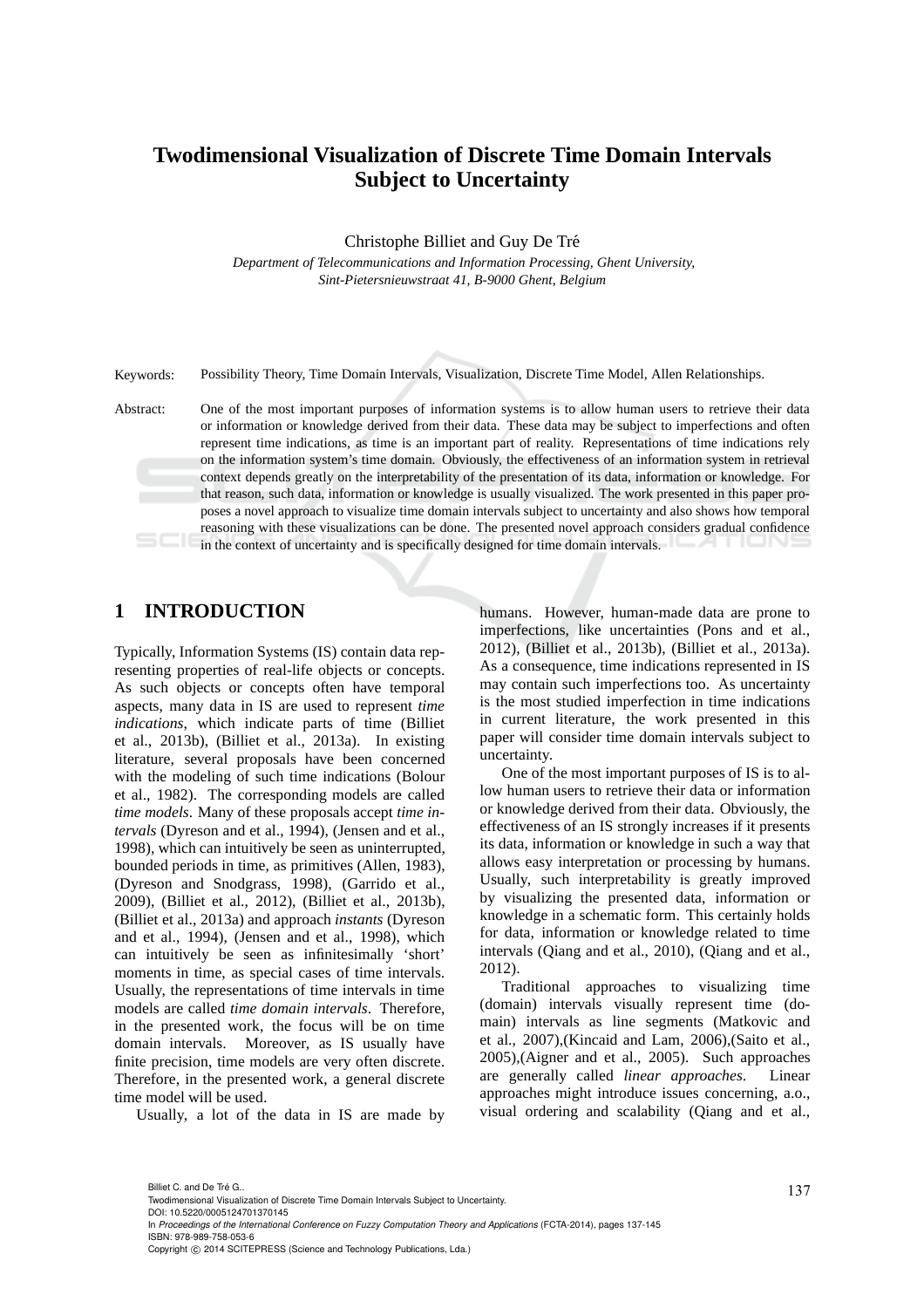# **Twodimensional Visualization of Discrete Time Domain Intervals Subject to Uncertainty**

Christophe Billiet and Guy De Tré

*Department of Telecommunications and Information Processing, Ghent University, Sint-Pietersnieuwstraat 41, B-9000 Ghent, Belgium*

Keywords: Possibility Theory, Time Domain Intervals, Visualization, Discrete Time Model, Allen Relationships.

Abstract: One of the most important purposes of information systems is to allow human users to retrieve their data or information or knowledge derived from their data. These data may be subject to imperfections and often represent time indications, as time is an important part of reality. Representations of time indications rely on the information system's time domain. Obviously, the effectiveness of an information system in retrieval context depends greatly on the interpretability of the presentation of its data, information or knowledge. For that reason, such data, information or knowledge is usually visualized. The work presented in this paper proposes a novel approach to visualize time domain intervals subject to uncertainty and also shows how temporal reasoning with these visualizations can be done. The presented novel approach considers gradual confidence in the context of uncertainty and is specifically designed for time domain intervals.

### **1 INTRODUCTION**

Typically, Information Systems (IS) contain data representing properties of real-life objects or concepts. As such objects or concepts often have temporal aspects, many data in IS are used to represent *time indications*, which indicate parts of time (Billiet et al., 2013b), (Billiet et al., 2013a). In existing literature, several proposals have been concerned with the modeling of such time indications (Bolour et al., 1982). The corresponding models are called *time models*. Many of these proposals accept *time intervals* (Dyreson and et al., 1994), (Jensen and et al., 1998), which can intuitively be seen as uninterrupted, bounded periods in time, as primitives (Allen, 1983), (Dyreson and Snodgrass, 1998), (Garrido et al., 2009), (Billiet et al., 2012), (Billiet et al., 2013b), (Billiet et al., 2013a) and approach *instants* (Dyreson and et al., 1994), (Jensen and et al., 1998), which can intuitively be seen as infinitesimally 'short' moments in time, as special cases of time intervals. Usually, the representations of time intervals in time models are called *time domain intervals*. Therefore, in the presented work, the focus will be on time domain intervals. Moreover, as IS usually have finite precision, time models are very often discrete. Therefore, in the presented work, a general discrete time model will be used.

Usually, a lot of the data in IS are made by

humans. However, human-made data are prone to imperfections, like uncertainties (Pons and et al., 2012), (Billiet et al., 2013b), (Billiet et al., 2013a). As a consequence, time indications represented in IS may contain such imperfections too. As uncertainty is the most studied imperfection in time indications in current literature, the work presented in this paper will consider time domain intervals subject to uncertainty.

One of the most important purposes of IS is to allow human users to retrieve their data or information or knowledge derived from their data. Obviously, the effectiveness of an IS strongly increases if it presents its data, information or knowledge in such a way that allows easy interpretation or processing by humans. Usually, such interpretability is greatly improved by visualizing the presented data, information or knowledge in a schematic form. This certainly holds for data, information or knowledge related to time intervals (Qiang and et al., 2010), (Qiang and et al., 2012).

Traditional approaches to visualizing time (domain) intervals visually represent time (domain) intervals as line segments (Matkovic and et al., 2007),(Kincaid and Lam, 2006),(Saito et al., 2005),(Aigner and et al., 2005). Such approaches are generally called *linear approaches*. Linear approaches might introduce issues concerning, a.o., visual ordering and scalability (Qiang and et al.,

DOI: 10.5220/0005124701370145

In *Proceedings of the International Conference on Fuzzy Computation Theory and Applications* (FCTA-2014), pages 137-145 ISBN: 978-989-758-053-6

Billiet C. and De Tré G..<br>Twodimensional Visualization of Discrete Time Domain Intervals Subject to Uncertainty.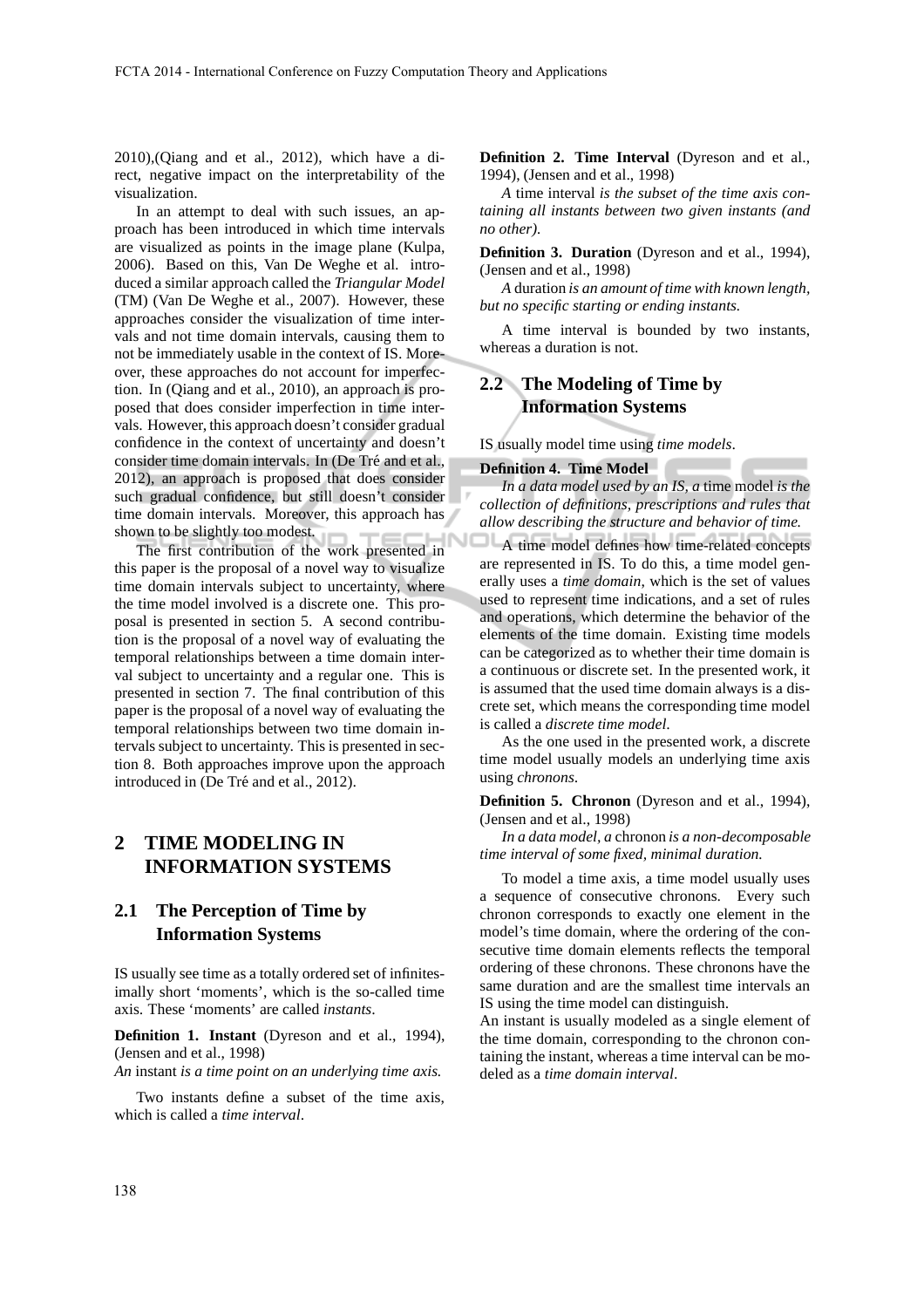2010),(Qiang and et al., 2012), which have a direct, negative impact on the interpretability of the visualization.

In an attempt to deal with such issues, an approach has been introduced in which time intervals are visualized as points in the image plane (Kulpa, 2006). Based on this, Van De Weghe et al. introduced a similar approach called the *Triangular Model* (TM) (Van De Weghe et al., 2007). However, these approaches consider the visualization of time intervals and not time domain intervals, causing them to not be immediately usable in the context of IS. Moreover, these approaches do not account for imperfection. In (Qiang and et al., 2010), an approach is proposed that does consider imperfection in time intervals. However, this approach doesn't consider gradual confidence in the context of uncertainty and doesn't consider time domain intervals. In (De Tré and et al., 2012), an approach is proposed that does consider such gradual confidence, but still doesn't consider time domain intervals. Moreover, this approach has shown to be slightly too modest.

The first contribution of the work presented in this paper is the proposal of a novel way to visualize time domain intervals subject to uncertainty, where the time model involved is a discrete one. This proposal is presented in section 5. A second contribution is the proposal of a novel way of evaluating the temporal relationships between a time domain interval subject to uncertainty and a regular one. This is presented in section 7. The final contribution of this paper is the proposal of a novel way of evaluating the temporal relationships between two time domain intervals subject to uncertainty. This is presented in section 8. Both approaches improve upon the approach introduced in (De Tré and et al., 2012).

### **2 TIME MODELING IN INFORMATION SYSTEMS**

### **2.1 The Perception of Time by Information Systems**

IS usually see time as a totally ordered set of infinitesimally short 'moments', which is the so-called time axis. These 'moments' are called *instants*.

**Definition 1. Instant** (Dyreson and et al., 1994), (Jensen and et al., 1998)

*An* instant *is a time point on an underlying time axis.*

Two instants define a subset of the time axis, which is called a *time interval*.

**Definition 2. Time Interval** (Dyreson and et al., 1994), (Jensen and et al., 1998)

*A* time interval *is the subset of the time axis containing all instants between two given instants (and no other).*

**Definition 3. Duration** (Dyreson and et al., 1994), (Jensen and et al., 1998)

*A* duration *is an amount of time with known length, but no specific starting or ending instants.*

A time interval is bounded by two instants, whereas a duration is not.

### **2.2 The Modeling of Time by Information Systems**

IS usually model time using *time models*.

### **Definition 4. Time Model**

*In a data model used by an IS, a* time model *is the collection of definitions, prescriptions and rules that allow describing the structure and behavior of time.*

A time model defines how time-related concepts are represented in IS. To do this, a time model generally uses a *time domain*, which is the set of values used to represent time indications, and a set of rules and operations, which determine the behavior of the elements of the time domain. Existing time models can be categorized as to whether their time domain is a continuous or discrete set. In the presented work, it is assumed that the used time domain always is a discrete set, which means the corresponding time model is called a *discrete time model*.

As the one used in the presented work, a discrete time model usually models an underlying time axis using *chronons*.

**Definition 5. Chronon** (Dyreson and et al., 1994), (Jensen and et al., 1998)

*In a data model, a* chronon *is a non-decomposable time interval of some fixed, minimal duration.*

To model a time axis, a time model usually uses a sequence of consecutive chronons. Every such chronon corresponds to exactly one element in the model's time domain, where the ordering of the consecutive time domain elements reflects the temporal ordering of these chronons. These chronons have the same duration and are the smallest time intervals an IS using the time model can distinguish.

An instant is usually modeled as a single element of the time domain, corresponding to the chronon containing the instant, whereas a time interval can be modeled as a *time domain interval*.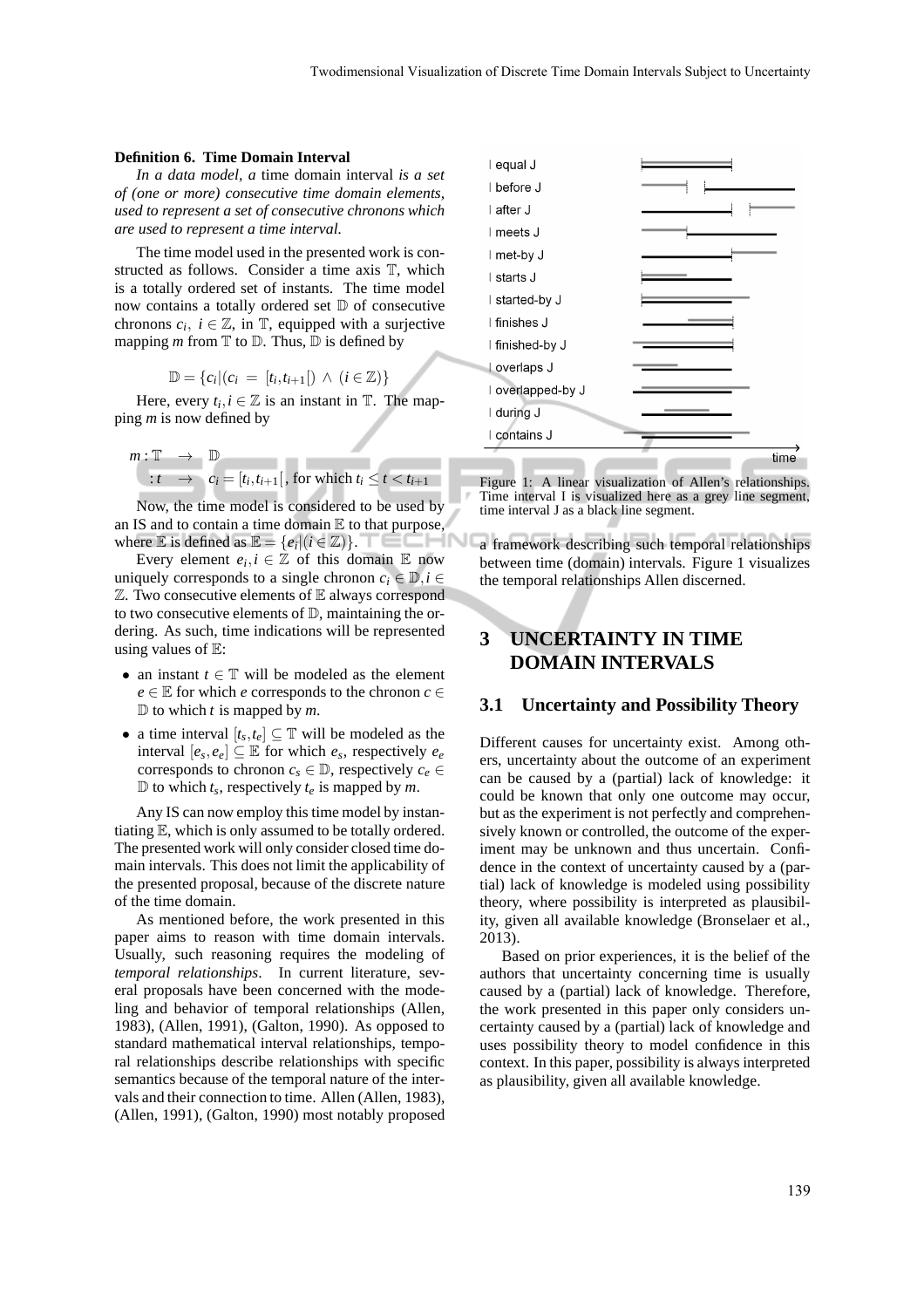#### **Definition 6. Time Domain Interval**

*In a data model, a* time domain interval *is a set of (one or more) consecutive time domain elements, used to represent a set of consecutive chronons which are used to represent a time interval.*

The time model used in the presented work is constructed as follows. Consider a time axis T, which is a totally ordered set of instants. The time model now contains a totally ordered set  $D$  of consecutive chronons  $c_i$ ,  $i \in \mathbb{Z}$ , in  $\mathbb{T}$ , equipped with a surjective mapping *m* from  $T$  to  $D$ . Thus,  $D$  is defined by

$$
\mathbb{D} = \{c_i | (c_i = [t_i, t_{i+1}]) \land (i \in \mathbb{Z})\}
$$

Here, every  $t_i, i \in \mathbb{Z}$  is an instant in  $\mathbb{T}$ . The mapping *m* is now defined by

$$
m: \mathbb{T} \rightarrow \mathbb{D}
$$
  
 
$$
: t \rightarrow c_i = [t_i, t_{i+1}[
$$
, for which  $t_i \le t < t_{i+1}$ 

Now, the time model is considered to be used by an IS and to contain a time domain  $E$  to that purpose, where  $\mathbb E$  is defined as  $\mathbb E = \{e_i | (i \in \mathbb Z)\}.$ 

Every element  $e_i, i \in \mathbb{Z}$  of this domain  $\mathbb E$  now uniquely corresponds to a single chronon  $c_i \in \mathbb{D}, i \in$  $\mathbb Z$ . Two consecutive elements of  $\mathbb E$  always correspond to two consecutive elements of  $D$ , maintaining the ordering. As such, time indications will be represented using values of  $E$ :

- an instant  $t \in \mathbb{T}$  will be modeled as the element  $e \in \mathbb{E}$  for which *e* corresponds to the chronon  $c \in$  $\mathbb D$  to which *t* is mapped by *m*.
- a time interval  $[t_s, t_e] \subseteq \mathbb{T}$  will be modeled as the interval  $[e_s, e_e] \subseteq \mathbb{E}$  for which  $e_s$ , respectively  $e_e$ corresponds to chronon  $c_s \in \mathbb{D}$ , respectively  $c_e \in$  $\mathbb{D}$  to which  $t_s$ , respectively  $t_e$  is mapped by *m*.

Any IS can now employ this time model by instantiating E, which is only assumed to be totally ordered. The presented work will only consider closed time domain intervals. This does not limit the applicability of the presented proposal, because of the discrete nature of the time domain.

As mentioned before, the work presented in this paper aims to reason with time domain intervals. Usually, such reasoning requires the modeling of *temporal relationships*. In current literature, several proposals have been concerned with the modeling and behavior of temporal relationships (Allen, 1983), (Allen, 1991), (Galton, 1990). As opposed to standard mathematical interval relationships, temporal relationships describe relationships with specific semantics because of the temporal nature of the intervals and their connection to time. Allen (Allen, 1983), (Allen, 1991), (Galton, 1990) most notably proposed



Figure 1: A linear visualization of Allen's relationships. Time interval I is visualized here as a grey line segment, time interval J as a black line segment.

a framework describing such temporal relationships between time (domain) intervals. Figure 1 visualizes the temporal relationships Allen discerned.

## **3 UNCERTAINTY IN TIME DOMAIN INTERVALS**

### **3.1 Uncertainty and Possibility Theory**

Different causes for uncertainty exist. Among others, uncertainty about the outcome of an experiment can be caused by a (partial) lack of knowledge: it could be known that only one outcome may occur, but as the experiment is not perfectly and comprehensively known or controlled, the outcome of the experiment may be unknown and thus uncertain. Confidence in the context of uncertainty caused by a (partial) lack of knowledge is modeled using possibility theory, where possibility is interpreted as plausibility, given all available knowledge (Bronselaer et al., 2013).

Based on prior experiences, it is the belief of the authors that uncertainty concerning time is usually caused by a (partial) lack of knowledge. Therefore, the work presented in this paper only considers uncertainty caused by a (partial) lack of knowledge and uses possibility theory to model confidence in this context. In this paper, possibility is always interpreted as plausibility, given all available knowledge.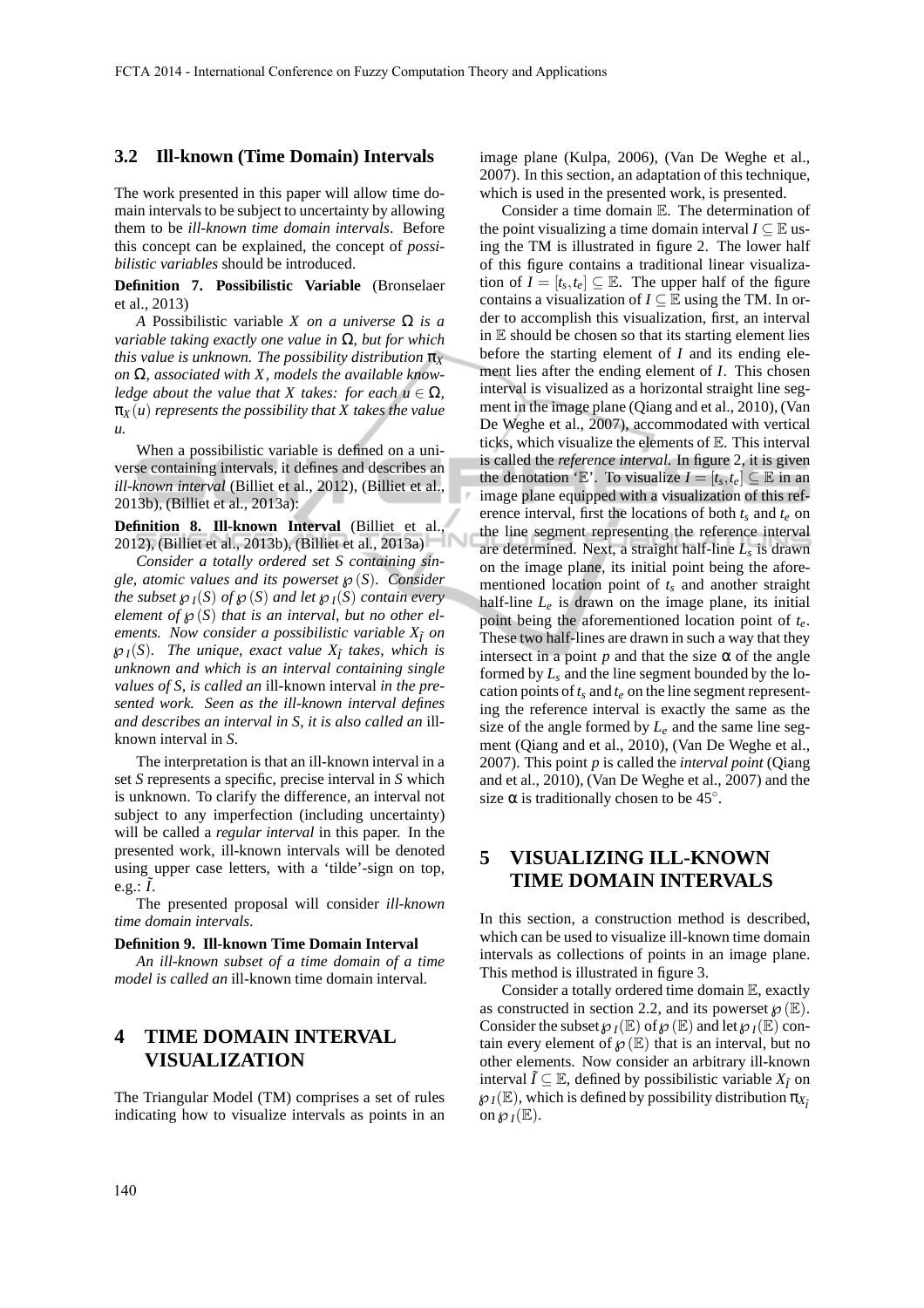### **3.2 Ill-known (Time Domain) Intervals**

The work presented in this paper will allow time domain intervals to be subject to uncertainty by allowing them to be *ill-known time domain intervals*. Before this concept can be explained, the concept of *possibilistic variables* should be introduced.

**Definition 7. Possibilistic Variable** (Bronselaer et al., 2013)

*A* Possibilistic variable *X on a universe* Ω *is a variable taking exactly one value in* Ω*, but for which this value is unknown. The possibility distribution*  $\pi_X$ *on* Ω*, associated with X, models the available knowledge about the value that X takes: for each*  $u \in \Omega$ *,*  $\pi_X(u)$  *represents the possibility that X takes the value u.*

When a possibilistic variable is defined on a universe containing intervals, it defines and describes an *ill-known interval* (Billiet et al., 2012), (Billiet et al., 2013b), (Billiet et al., 2013a):

**Definition 8. Ill-known Interval** (Billiet et al., 2012), (Billiet et al., 2013b), (Billiet et al., 2013a)

*Consider a totally ordered set S containing single, atomic values and its powerset* ℘(*S*)*. Consider the subset*  $\mathcal{O}_I(S)$  *of*  $\mathcal{O}(S)$  *and let*  $\mathcal{O}_I(S)$  *contain every element of*  $\mathcal{O}(S)$  *that is an interval, but no other elements. Now consider a possibilistic variable X*˜*<sup>I</sup> on*  $\mathcal{P}_I(S)$ *. The unique, exact value*  $X_{\tilde{I}}$  *takes, which is unknown and which is an interval containing single values of S, is called an* ill-known interval *in the presented work. Seen as the ill-known interval defines and describes an interval in S, it is also called an* illknown interval in *S.*

The interpretation is that an ill-known interval in a set *S* represents a specific, precise interval in *S* which is unknown. To clarify the difference, an interval not subject to any imperfection (including uncertainty) will be called a *regular interval* in this paper. In the presented work, ill-known intervals will be denoted using upper case letters, with a 'tilde'-sign on top, e.g.:  $\tilde{I}$ .

The presented proposal will consider *ill-known time domain intervals*.

#### **Definition 9. Ill-known Time Domain Interval**

*An ill-known subset of a time domain of a time model is called an* ill-known time domain interval*.*

## **4 TIME DOMAIN INTERVAL VISUALIZATION**

The Triangular Model (TM) comprises a set of rules indicating how to visualize intervals as points in an image plane (Kulpa, 2006), (Van De Weghe et al., 2007). In this section, an adaptation of this technique, which is used in the presented work, is presented.

Consider a time domain E. The determination of the point visualizing a time domain interval  $I \subseteq \mathbb{E}$  using the TM is illustrated in figure 2. The lower half of this figure contains a traditional linear visualization of  $I = [t_s, t_e] \subseteq \mathbb{E}$ . The upper half of the figure contains a visualization of  $I \subseteq \mathbb{E}$  using the TM. In order to accomplish this visualization, first, an interval in  $E$  should be chosen so that its starting element lies before the starting element of *I* and its ending element lies after the ending element of *I*. This chosen interval is visualized as a horizontal straight line segment in the image plane (Qiang and et al., 2010), (Van De Weghe et al., 2007), accommodated with vertical ticks, which visualize the elements of E. This interval is called the *reference interval*. In figure 2, it is given the denotation 'E'. To visualize  $I = [t_s, t_e] \subseteq \mathbb{E}$  in an image plane equipped with a visualization of this reference interval, first the locations of both *t<sup>s</sup>* and *t<sup>e</sup>* on the line segment representing the reference interval are determined. Next, a straight half-line *L<sup>s</sup>* is drawn on the image plane, its initial point being the aforementioned location point of  $t<sub>s</sub>$  and another straight half-line *L<sup>e</sup>* is drawn on the image plane, its initial point being the aforementioned location point of *te*. These two half-lines are drawn in such a way that they intersect in a point  $p$  and that the size  $\alpha$  of the angle formed by *L<sup>s</sup>* and the line segment bounded by the location points of  $t_s$  and  $t_e$  on the line segment representing the reference interval is exactly the same as the size of the angle formed by  $L_e$  and the same line segment (Qiang and et al., 2010), (Van De Weghe et al., 2007). This point *p* is called the *interval point* (Qiang and et al., 2010), (Van De Weghe et al., 2007) and the size  $\alpha$  is traditionally chosen to be 45°.

### **5 VISUALIZING ILL-KNOWN TIME DOMAIN INTERVALS**

In this section, a construction method is described, which can be used to visualize ill-known time domain intervals as collections of points in an image plane. This method is illustrated in figure 3.

Consider a totally ordered time domain E, exactly as constructed in section 2.2, and its powerset  $\wp(\mathbb{E})$ . Consider the subset  $\mathcal{O}_I(\mathbb{E})$  of  $\mathcal{O}(\mathbb{E})$  and let  $\mathcal{O}_I(\mathbb{E})$  contain every element of  $\mathcal{O}(\mathbb{E})$  that is an interval, but no other elements. Now consider an arbitrary ill-known interval  $\tilde{I} \subseteq \mathbb{E}$ , defined by possibilistic variable  $X_{\tilde{I}}$  on  $\mathcal{O}_I(\mathbb{E})$ , which is defined by possibility distribution  $\pi_{X_i}$ on  $\mathcal{O}_I(\mathbb{E})$ .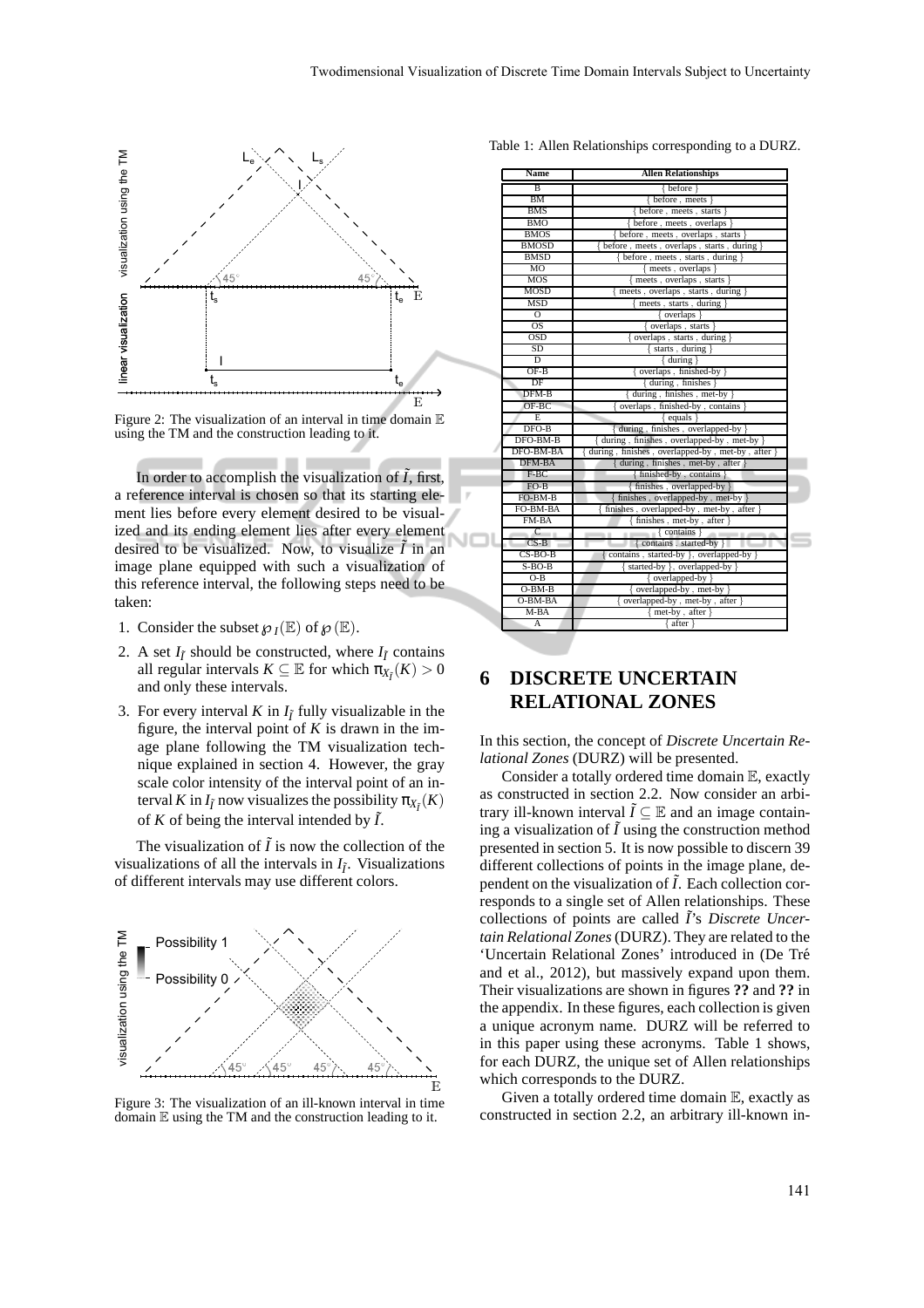

Figure 2: The visualization of an interval in time domain  $E$ using the TM and the construction leading to it.

In order to accomplish the visualization of  $\tilde{I}$ , first, a reference interval is chosen so that its starting element lies before every element desired to be visualized and its ending element lies after every element desired to be visualized. Now, to visualize  $\tilde{I}$  in an image plane equipped with such a visualization of this reference interval, the following steps need to be taken:

- 1. Consider the subset  $\mathcal{O}_I(\mathbb{E})$  of  $\mathcal{O}(\mathbb{E})$ .
- 2. A set  $I_{\tilde{I}}$  should be constructed, where  $I_{\tilde{I}}$  contains all regular intervals  $K \subseteq \mathbb{E}$  for which  $\pi_{X_{\bar{I}}}(K) > 0$ and only these intervals.
- 3. For every interval *K* in  $I_{\tilde{I}}$  fully visualizable in the figure, the interval point of  $K$  is drawn in the image plane following the TM visualization technique explained in section 4. However, the gray scale color intensity of the interval point of an interval *K* in  $I_{\tilde{I}}$  now visualizes the possibility  $\pi_{X_{\tilde{I}}}(K)$ of  $K$  of being the interval intended by  $\tilde{I}$ .

The visualization of  $\tilde{I}$  is now the collection of the visualizations of all the intervals in  $I_{\tilde{I}}$ . Visualizations of different intervals may use different colors.



Figure 3: The visualization of an ill-known interval in time domain  $E$  using the TM and the construction leading to it.

Table 1: Allen Relationships corresponding to a DURZ.

| Name          | <b>Allen Relationships</b>                       |
|---------------|--------------------------------------------------|
| B             | { before                                         |
| <b>BM</b>     | before, meets                                    |
| <b>BMS</b>    | before, meets, starts }                          |
| BMO           | before, meets, overlaps                          |
| <b>BMOS</b>   | before, meets, overlaps, starts }                |
| BMOSD         | before, meets, overlaps, starts, during }        |
| <b>BMSD</b>   | before, meets, starts, during                    |
| MO            | meets, overlaps                                  |
| MOS           | meets, overlaps, starts                          |
| MOSD          | meets, overlaps, starts, during }                |
| MSD           | meets, starts, during }                          |
| $\Omega$      | $\{$ overlaps $\}$                               |
| OS            | overlaps, starts                                 |
| OSD           | overlaps, starts, during }                       |
| SD.           | $\{ starts, during \}$                           |
| D             | $\{$ during $\}$                                 |
| $OF-B$        | overlaps, finished-by $\}$                       |
| DF            | $\{$ during, finishes $\}$                       |
| DFM-B         | during, finishes, met-by }                       |
| $OF-BC$       | overlaps, finished-by, contains                  |
| E             | equals                                           |
| $DFO-B$       | during, finishes, overlapped-by                  |
| DFO-BM-B      | during, finishes, overlapped-by, met-by          |
| DFO-BM-BA     | during, finishes, overlapped-by, met-by, after } |
| DFM-BA        | during, finishes, met-by, after }                |
| $F-BC$        | finished-by, contains                            |
| $FO-B$        | finishes, overlapped-by                          |
| FO-BM-B       | finishes, overlapped-by, met-by }                |
| FO-BM-BA      | finishes, overlapped-by, met-by, after           |
| FM-BA         | finishes, met-by, after                          |
| $\mathcal{C}$ | $contains$ }<br>1.11                             |
| $CS-B$        | { contains , started-by }                        |
| $CS-BO-B$     | contains, started-by }, overlapped-by }          |
| $S-BO-B$      | started-by }, overlapped-by }                    |
| O-B           | { overlapped-by                                  |
| $O-BM-B$      | overlapped-by, met-by }                          |
| $O-BM-BA$     | overlapped-by, met-by, after }                   |
| $M-BA$        | $\{$ met-by, after $\}$                          |
| A             | { after }                                        |

### **6 DISCRETE UNCERTAIN RELATIONAL ZONES**

In this section, the concept of *Discrete Uncertain Relational Zones* (DURZ) will be presented.

Consider a totally ordered time domain E, exactly as constructed in section 2.2. Now consider an arbitrary ill-known interval  $\tilde{I} \subseteq \mathbb{E}$  and an image containing a visualization of  $\tilde{I}$  using the construction method presented in section 5. It is now possible to discern 39 different collections of points in the image plane, dependent on the visualization of  $\tilde{I}$ . Each collection corresponds to a single set of Allen relationships. These collections of points are called ˜*I*'s *Discrete Uncertain Relational Zones* (DURZ). They are related to the 'Uncertain Relational Zones' introduced in (De Tré and et al., 2012), but massively expand upon them. Their visualizations are shown in figures **??** and **??** in the appendix. In these figures, each collection is given a unique acronym name. DURZ will be referred to in this paper using these acronyms. Table 1 shows, for each DURZ, the unique set of Allen relationships which corresponds to the DURZ.

Given a totally ordered time domain  $E$ , exactly as constructed in section 2.2, an arbitrary ill-known in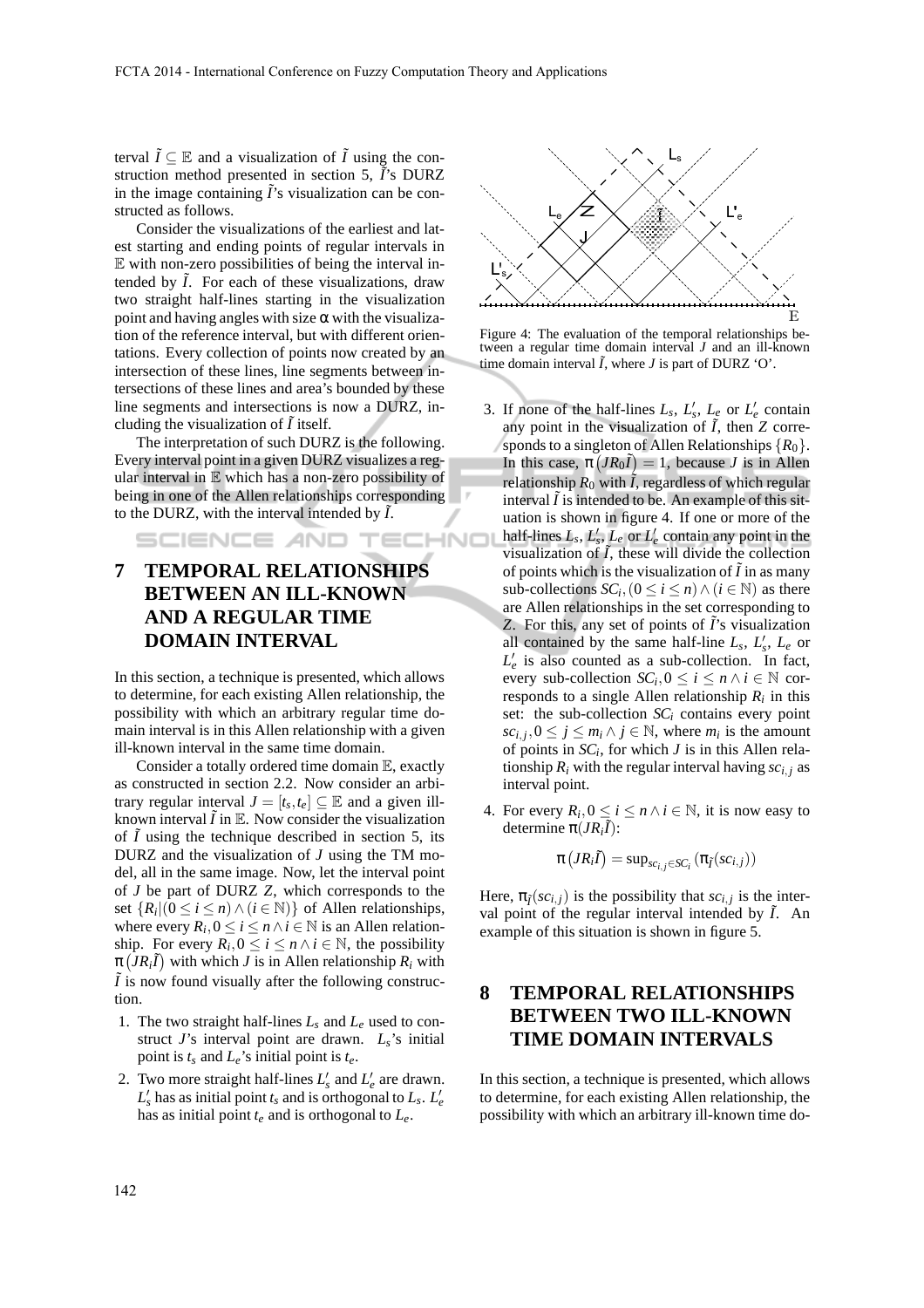terval  $\tilde{I} \subseteq \mathbb{E}$  and a visualization of  $\tilde{I}$  using the construction method presented in section 5,  $\tilde{I}$ 's DURZ in the image containing  $\tilde{I}$ 's visualization can be constructed as follows.

Consider the visualizations of the earliest and latest starting and ending points of regular intervals in  $E$  with non-zero possibilities of being the interval intended by  $\tilde{I}$ . For each of these visualizations, draw two straight half-lines starting in the visualization point and having angles with size  $\alpha$  with the visualization of the reference interval, but with different orientations. Every collection of points now created by an intersection of these lines, line segments between intersections of these lines and area's bounded by these line segments and intersections is now a DURZ, including the visualization of  $\ddot{I}$  itself.

The interpretation of such DURZ is the following. Every interval point in a given DURZ visualizes a regular interval in  $E$  which has a non-zero possibility of being in one of the Allen relationships corresponding to the DURZ, with the interval intended by  $\tilde{I}$ .

# **7 TEMPORAL RELATIONSHIPS BETWEEN AN ILL-KNOWN AND A REGULAR TIME DOMAIN INTERVAL**

In this section, a technique is presented, which allows to determine, for each existing Allen relationship, the possibility with which an arbitrary regular time domain interval is in this Allen relationship with a given ill-known interval in the same time domain.

Consider a totally ordered time domain  $E$ , exactly as constructed in section 2.2. Now consider an arbitrary regular interval  $J = [t_s, t_e] \subseteq \mathbb{E}$  and a given illknown interval  $\tilde{I}$  in  $\mathbb{E}$ . Now consider the visualization of  $\tilde{I}$  using the technique described in section 5, its DURZ and the visualization of *J* using the TM model, all in the same image. Now, let the interval point of *J* be part of DURZ *Z*, which corresponds to the set  $\{R_i | (0 \le i \le n) \wedge (i \in \mathbb{N})\}$  of Allen relationships, where every  $R_i$ ,  $0 \le i \le n \land i \in \mathbb{N}$  is an Allen relationship. For every  $R_i$ ,  $0 \le i \le n \land i \in \mathbb{N}$ , the possibility  $\pi(\overline{J}R_i\overline{I})$  with which *J* is in Allen relationship  $R_i$  with  $\tilde{I}$  is now found visually after the following construction.

- 1. The two straight half-lines *L<sup>s</sup>* and *L<sup>e</sup>* used to construct *J*'s interval point are drawn. *Ls*'s initial point is  $t_s$  and  $L_e$ 's initial point is  $t_e$ .
- 2. Two more straight half-lines  $L'_s$  and  $L'_e$  are drawn.  $L'_s$  has as initial point  $t_s$  and is orthogonal to  $L_s$ .  $L'_e$ has as initial point *t<sup>e</sup>* and is orthogonal to *Le*.



Figure 4: The evaluation of the temporal relationships between a regular time domain interval *J* and an ill-known time domain interval  $\tilde{I}$ , where  $J$  is part of DURZ 'O'.

- 3. If none of the half-lines  $L_s$ ,  $L'_s$ ,  $L_e$  or  $L'_e$  contain any point in the visualization of  $\tilde{I}$ , then  $Z$  corresponds to a singleton of Allen Relationships  ${R_0}$ . In this case,  $\pi \left( J R_0 \tilde{I} \right) = 1$ , because *J* is in Allen relationship  $R_0$  with  $\tilde{I}$ , regardless of which regular interval  $\tilde{I}$  is intended to be. An example of this situation is shown in figure 4. If one or more of the half-lines  $L_s$ ,  $L'_s$ ,  $L_e$  or  $L'_e$  contain any point in the SCIENCE AND TECHNO visualization of  $\tilde{I}$ , these will divide the collection of points which is the visualization of  $\tilde{I}$  in as many sub-collections  $SC_i$ ,  $(0 \le i \le n) \wedge (i \in \mathbb{N})$  as there are Allen relationships in the set corresponding to *Z*. For this, any set of points of ˜*I*'s visualization all contained by the same half-line  $L_s$ ,  $L'_s$ ,  $L_e$  or  $L'_{e}$  is also counted as a sub-collection. In fact, every sub-collection  $SC_i$ ,  $0 \le i \le n \land i \in \mathbb{N}$  corresponds to a single Allen relationship  $R_i$  in this set: the sub-collection  $SC<sub>i</sub>$  contains every point  $\sum_{i}$ ,  $j$ ,  $0 \le j \le m$ *i* ∧ *j* ∈ N, where  $m$ *i* is the amount of points in  $SC_i$ , for which  $J$  is in this Allen relationship  $R_i$  with the regular interval having  $\sum_i$  *sc*<sub>*i*, *j* as</sub> interval point.
	- 4. For every  $R_i$ ,  $0 \le i \le n \land i \in \mathbb{N}$ , it is now easy to determine  $\pi$  $(JR_i\tilde{I})$ :

$$
\pi\left(JR_i\tilde{I}\right) = \sup_{sc_{i,j} \in SC_i} \left(\pi_{\tilde{I}}(sc_{i,j})\right)
$$

Here,  $\pi_{\bar{I}}(sc_{i,j})$  is the possibility that  $sc_{i,j}$  is the interval point of the regular interval intended by  $\tilde{I}$ . An example of this situation is shown in figure 5.

## **8 TEMPORAL RELATIONSHIPS BETWEEN TWO ILL-KNOWN TIME DOMAIN INTERVALS**

In this section, a technique is presented, which allows to determine, for each existing Allen relationship, the possibility with which an arbitrary ill-known time do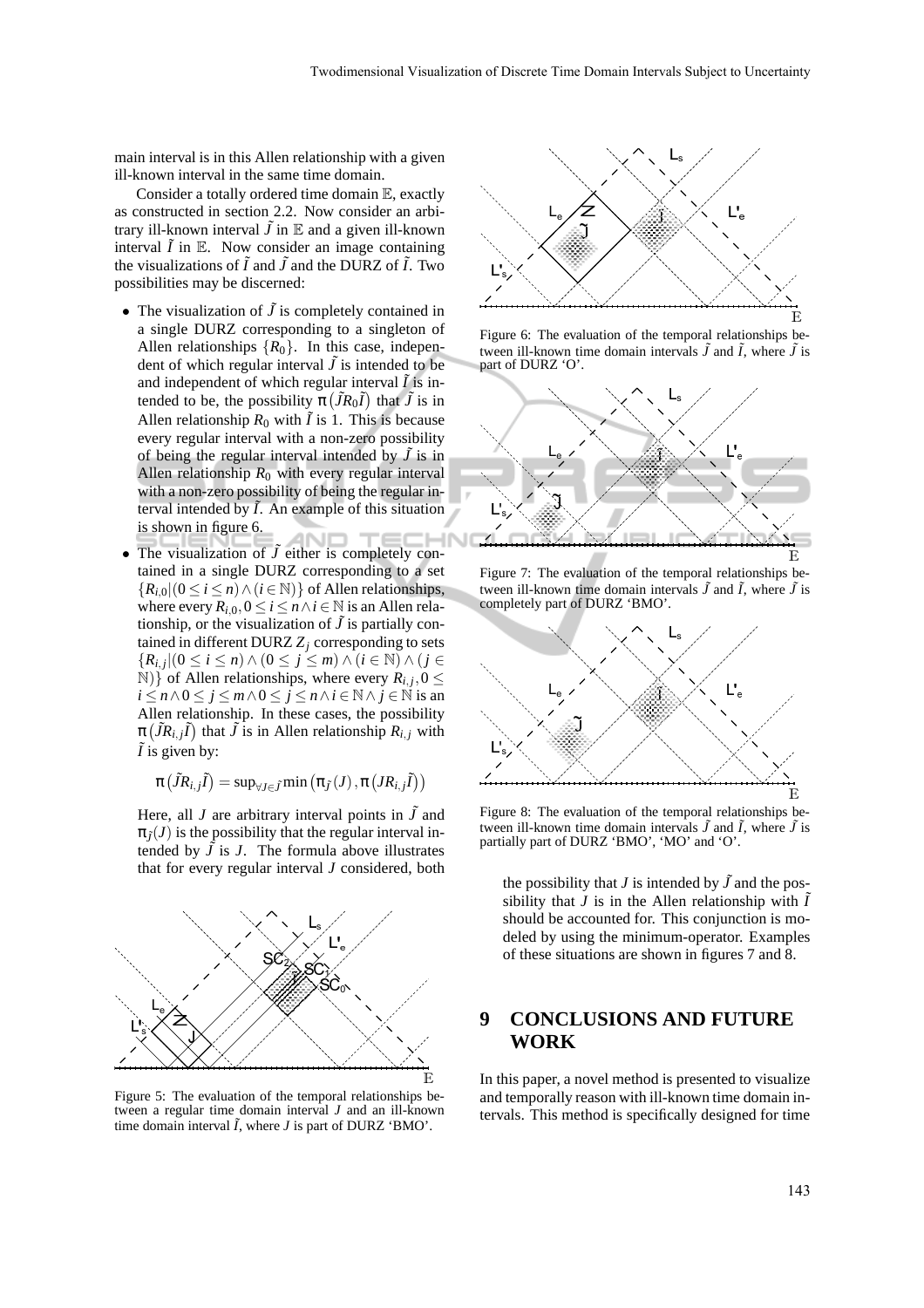main interval is in this Allen relationship with a given ill-known interval in the same time domain.

Consider a totally ordered time domain E, exactly as constructed in section 2.2. Now consider an arbitrary ill-known interval  $\tilde{J}$  in  $\mathbb E$  and a given ill-known interval  $\tilde{I}$  in  $\mathbb{E}$ . Now consider an image containing the visualizations of  $\tilde{I}$  and  $\tilde{J}$  and the DURZ of  $\tilde{I}$ . Two possibilities may be discerned:

- The visualization of  $\tilde{J}$  is completely contained in a single DURZ corresponding to a singleton of Allen relationships  ${R_0}$ . In this case, independent of which regular interval  $\tilde{J}$  is intended to be and independent of which regular interval  $\tilde{I}$  is intended to be, the possibility  $\pi(\tilde{J}R_0\tilde{I})$  that  $\tilde{J}$  is in Allen relationship  $R_0$  with  $\tilde{I}$  is 1. This is because every regular interval with a non-zero possibility of being the regular interval intended by  $\tilde{J}$  is in Allen relationship  $R_0$  with every regular interval with a non-zero possibility of being the regular interval intended by  $\tilde{I}$ . An example of this situation is shown in figure 6.
- The visualization of  $\tilde{J}$  either is completely contained in a single DURZ corresponding to a set  ${R_{i,0} | (0 \le i \le n) \wedge (i \in \mathbb{N})}$  of Allen relationships, where every  $R_{i,0}$ ,  $0 \le i \le n \wedge i \in \mathbb{N}$  is an Allen relationship, or the visualization of  $\tilde{J}$  is partially contained in different DURZ  $Z_i$  corresponding to sets {*Ri*, *<sup>j</sup>* |(0 ≤ *i* ≤ *n*)∧ (0 ≤ *j* ≤ *m*) ∧ (*i* ∈ N) ∧ (*j* ∈  $(N)$ } of Allen relationships, where every  $R_{i,j}$ ,  $0 \leq$ *i* ≤ *n* ∧ 0 ≤ *j* ≤ *m* ∧ 0 ≤ *j* ≤ *n* ∧ *i* ∈  $\mathbb{N}$  ∧ *j* ∈  $\mathbb{N}$  is an Allen relationship. In these cases, the possibility  $\pi(\tilde{J}R_{i,j}\tilde{I})$  that  $\tilde{J}$  is in Allen relationship  $R_{i,j}$  with  $\tilde{I}$  is given by:

$$
\pi\left(\tilde{J}R_{i,j}\tilde{I}\right)=\text{sup}_{\forall J\in\tilde{J}}\text{min}\left(\pi_{\tilde{J}}(J),\pi\left(JR_{i,j}\tilde{I}\right)\right)
$$

Here, all *J* are arbitrary interval points in  $\tilde{J}$  and  $\pi_{\tilde{I}}(J)$  is the possibility that the regular interval intended by  $\tilde{J}$  is  $J$ . The formula above illustrates that for every regular interval *J* considered, both



Figure 5: The evaluation of the temporal relationships between a regular time domain interval *J* and an ill-known time domain interval  $\tilde{I}$ , where  $J$  is part of DURZ 'BMO'.



Figure 6: The evaluation of the temporal relationships between ill-known time domain intervals  $\tilde{J}$  and  $\tilde{I}$ , where  $\tilde{J}$  is part of DURZ 'O'.



Figure 7: The evaluation of the temporal relationships between ill-known time domain intervals  $\tilde{J}$  and  $\tilde{I}$ , where  $\tilde{J}$  is completely part of DURZ 'BMO'.



Figure 8: The evaluation of the temporal relationships between ill-known time domain intervals  $\tilde{J}$  and  $\tilde{I}$ , where  $\tilde{J}$  is partially part of DURZ 'BMO', 'MO' and 'O'.

the possibility that *J* is intended by  $\tilde{J}$  and the possibility that *J* is in the Allen relationship with  $\tilde{I}$ should be accounted for. This conjunction is modeled by using the minimum-operator. Examples of these situations are shown in figures 7 and 8.

## **9 CONCLUSIONS AND FUTURE WORK**

In this paper, a novel method is presented to visualize and temporally reason with ill-known time domain intervals. This method is specifically designed for time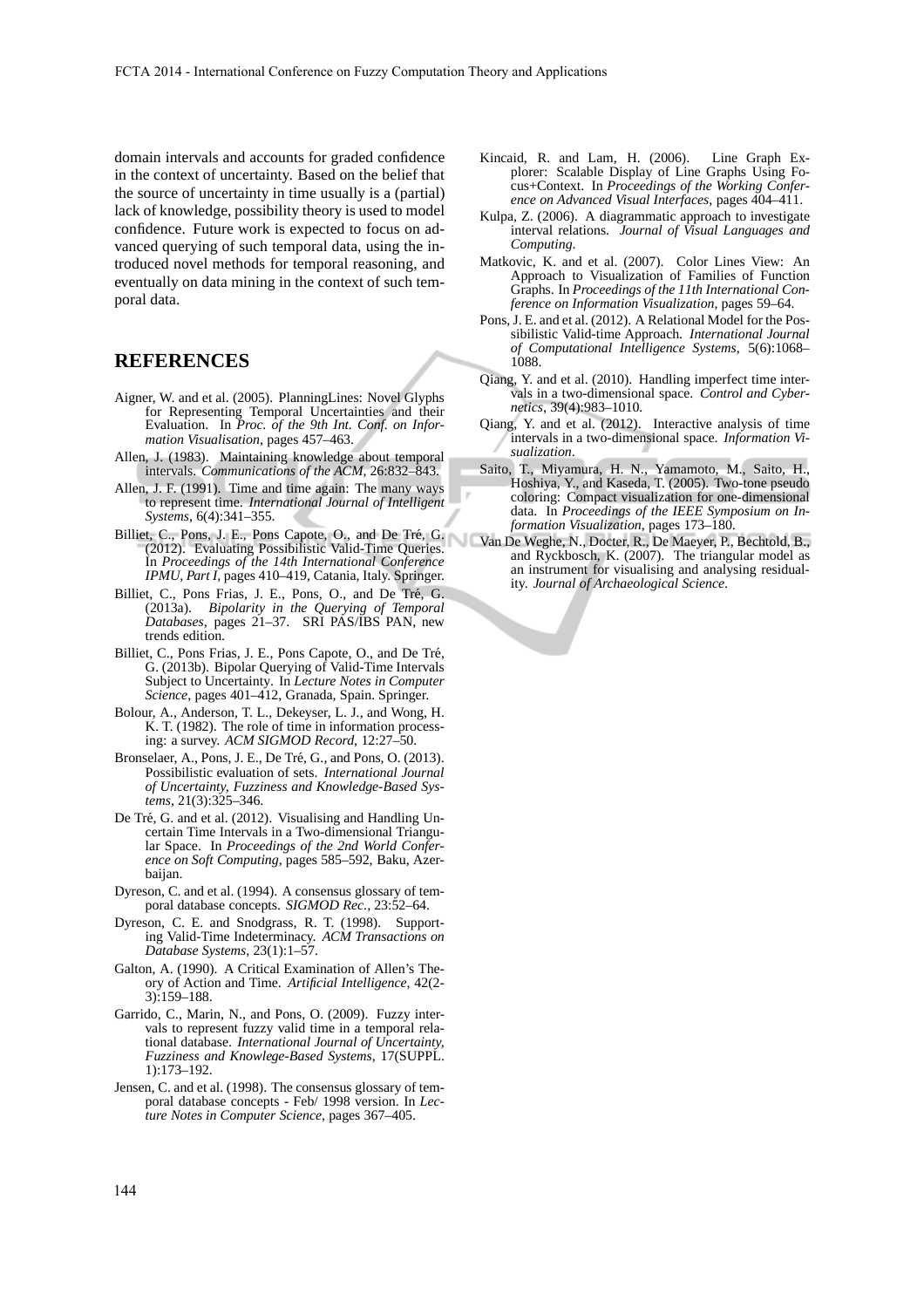domain intervals and accounts for graded confidence in the context of uncertainty. Based on the belief that the source of uncertainty in time usually is a (partial) lack of knowledge, possibility theory is used to model confidence. Future work is expected to focus on advanced querying of such temporal data, using the introduced novel methods for temporal reasoning, and eventually on data mining in the context of such temporal data.

### **REFERENCES**

- Aigner, W. and et al. (2005). PlanningLines: Novel Glyphs for Representing Temporal Uncertainties and their Evaluation. In *Proc. of the 9th Int. Conf. on Information Visualisation*, pages 457–463.
- Allen, J. (1983). Maintaining knowledge about temporal intervals. *Communications of the ACM*, 26:832–843.
- Allen, J. F. (1991). Time and time again: The many ways to represent time. *International Journal of Intelligent Systems*, 6(4):341–355.
- Billiet, C., Pons, J. E., Pons Capote, O., and De Tré, G. (2012). Evaluating Possibilistic Valid-Time Queries. In *Proceedings of the 14th International Conference IPMU, Part I*, pages 410–419, Catania, Italy. Springer.
- Billiet, C., Pons Frias, J. E., Pons, O., and De Tré, G. (2013a). *Bipolarity in the Querying of Temporal Databases*, pages 21–37. SRI PAS/IBS PAN, new trends edition.
- Billiet, C., Pons Frias, J. E., Pons Capote, O., and De Tré, G. (2013b). Bipolar Querying of Valid-Time Intervals Subject to Uncertainty. In *Lecture Notes in Computer Science*, pages 401–412, Granada, Spain. Springer.
- Bolour, A., Anderson, T. L., Dekeyser, L. J., and Wong, H. K. T. (1982). The role of time in information processing: a survey. *ACM SIGMOD Record*, 12:27–50.
- Bronselaer, A., Pons, J. E., De Tré, G., and Pons, O. (2013). Possibilistic evaluation of sets. *International Journal of Uncertainty, Fuzziness and Knowledge-Based Systems*, 21(3):325–346.
- De Tré, G. and et al. (2012). Visualising and Handling Uncertain Time Intervals in a Two-dimensional Triangular Space. In *Proceedings of the 2nd World Conference on Soft Computing*, pages 585–592, Baku, Azerbaijan.
- Dyreson, C. and et al. (1994). A consensus glossary of temporal database concepts. *SIGMOD Rec.*, 23:52–64.
- Dyreson, C. E. and Snodgrass, R. T. (1998). Supporting Valid-Time Indeterminacy. *ACM Transactions on Database Systems*, 23(1):1–57.
- Galton, A. (1990). A Critical Examination of Allen's Theory of Action and Time. *Artificial Intelligence*, 42(2- 3):159–188.
- Garrido, C., Marin, N., and Pons, O. (2009). Fuzzy intervals to represent fuzzy valid time in a temporal relational database. *International Journal of Uncertainty, Fuzziness and Knowlege-Based Systems*, 17(SUPPL. 1):173–192.
- Jensen, C. and et al. (1998). The consensus glossary of temporal database concepts - Feb/ 1998 version. In *Lecture Notes in Computer Science*, pages 367–405.
- Kincaid, R. and Lam, H. (2006). Line Graph Explorer: Scalable Display of Line Graphs Using Focus+Context. In *Proceedings of the Working Conference on Advanced Visual Interfaces*, pages 404–411.
- Kulpa, Z. (2006). A diagrammatic approach to investigate interval relations. *Journal of Visual Languages and Computing*.
- Matkovic, K. and et al. (2007). Color Lines View: An Approach to Visualization of Families of Function Graphs. In *Proceedings of the 11th International Conference on Information Visualization*, pages 59–64.
- Pons, J. E. and et al. (2012). A Relational Model for the Possibilistic Valid-time Approach. *International Journal of Computational Intelligence Systems*, 5(6):1068– 1088.
- Qiang, Y. and et al. (2010). Handling imperfect time intervals in a two-dimensional space. *Control and Cybernetics*, 39(4):983–1010.
- Qiang, Y. and et al. (2012). Interactive analysis of time intervals in a two-dimensional space. *Information Visualization*.
- Saito, T., Miyamura, H. N., Yamamoto, M., Saito, H., Hoshiya, Y., and Kaseda, T. (2005). Two-tone pseudo coloring: Compact visualization for one-dimensional data. In *Proceedings of the IEEE Symposium on Information Visualization*, pages 173–180.
- Van De Weghe, N., Docter, R., De Maeyer, P., Bechtold, B., and Ryckbosch, K. (2007). The triangular model as an instrument for visualising and analysing residuality. *Journal of Archaeological Science*.